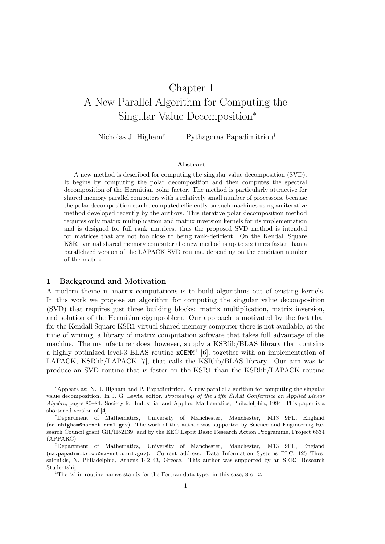# Chapter 1 A New Parallel Algorithm for Computing the Singular Value Decomposition<sup>∗</sup>

Nicholas J. Higham<sup>†</sup> Pythagoras Papadimitriou<sup>‡</sup>

#### Abstract

A new method is described for computing the singular value decomposition (SVD). It begins by computing the polar decomposition and then computes the spectral decomposition of the Hermitian polar factor. The method is particularly attractive for shared memory parallel computers with a relatively small number of processors, because the polar decomposition can be computed efficiently on such machines using an iterative method developed recently by the authors. This iterative polar decomposition method requires only matrix multiplication and matrix inversion kernels for its implementation and is designed for full rank matrices; thus the proposed SVD method is intended for matrices that are not too close to being rank-deficient. On the Kendall Square KSR1 virtual shared memory computer the new method is up to six times faster than a parallelized version of the LAPACK SVD routine, depending on the condition number of the matrix.

#### 1 Background and Motivation

A modern theme in matrix computations is to build algorithms out of existing kernels. In this work we propose an algorithm for computing the singular value decomposition (SVD) that requires just three building blocks: matrix multiplication, matrix inversion, and solution of the Hermitian eigenproblem. Our approach is motivated by the fact that for the Kendall Square KSR1 virtual shared memory computer there is not available, at the time of writing, a library of matrix computation software that takes full advantage of the machine. The manufacturer does, however, supply a KSRlib/BLAS library that contains a highly optimized level-3 BLAS routine  $\mathbf{xGEMM}^1$  [6], together with an implementation of LAPACK, KSRlib/LAPACK [7], that calls the KSRlib/BLAS library. Our aim was to produce an SVD routine that is faster on the KSR1 than the KSRlib/LAPACK routine

<sup>∗</sup>Appears as: N. J. Higham and P. Papadimitriou. A new parallel algorithm for computing the singular value decomposition. In J. G. Lewis, editor, Proceedings of the Fifth SIAM Conference on Applied Linear Algebra, pages 80–84. Society for Industrial and Applied Mathematics, Philadelphia, 1994. This paper is a shortened version of [4].

<sup>†</sup>Department of Mathematics, University of Manchester, Manchester, M13 9PL, England (na.nhigham@na-net.ornl.gov). The work of this author was supported by Science and Engineering Research Council grant GR/H52139, and by the EEC Esprit Basic Research Action Programme, Project 6634 (APPARC).

<sup>‡</sup>Department of Mathematics, University of Manchester, Manchester, M13 9PL, England (na.papadimitriou@na-net.ornl.gov). Current address: Data Information Systems PLC, 125 Thessalonikis, N. Philadelphia, Athens 142 43, Greece. This author was supported by an SERC Research Studentship.

<sup>&</sup>lt;sup>1</sup>The 'x' in routine names stands for the Fortran data type: in this case,  $S$  or  $C$ .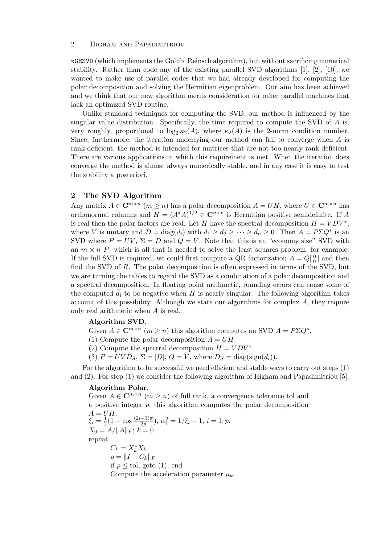#### 2 Higham and Papadimitriou

xGESVD (which implements the Golub–Reinsch algorithm), but without sacrificing numerical stability. Rather than code any of the existing parallel SVD algorithms  $[1]$ ,  $[2]$ ,  $[10]$ , we wanted to make use of parallel codes that we had already developed for computing the polar decomposition and solving the Hermitian eigenproblem. Our aim has been achieved and we think that our new algorithm merits consideration for other parallel machines that lack an optimized SVD routine.

Unlike standard techniques for computing the SVD, our method is influenced by the singular value distribution. Specifically, the time required to compute the SVD of  $A$  is, very roughly, proportional to  $\log_2 \kappa_2(A)$ , where  $\kappa_2(A)$  is the 2-norm condition number. Since, furthermore, the iteration underlying our method can fail to converge when A is rank-deficient, the method is intended for matrices that are not too nearly rank-deficient. There are various applications in which this requirement is met. When the iteration does converge the method is almost always numerically stable, and in any case it is easy to test the stability a posteriori.

## 2 The SVD Algorithm

Any matrix  $A \in \mathbb{C}^{m \times n}$   $(m \ge n)$  has a polar decomposition  $A = UH$ , where  $U \in \mathbb{C}^{m \times n}$  has orthonormal columns and  $H = (A^*A)^{1/2} \in \mathbb{C}^{n \times n}$  is Hermitian positive semidefinite. If A is real then the polar factors are real. Let H have the spectral decomposition  $H = VDV^*$ , where V is unitary and  $D = diag(d_i)$  with  $d_1 \geq d_2 \geq \cdots \geq d_n \geq 0$ . Then  $A = P \Sigma Q^*$  is an SVD where  $P = UV$ ,  $\Sigma = D$  and  $Q = V$ . Note that this is an "economy size" SVD with an  $m \times n$  P, which is all that is needed to solve the least squares problem, for example. If the full SVD is required, we could first compute a QR factorization  $A = Q_{0}^{R}$  $\binom{R}{0}$  and then find the SVD of R. The polar decomposition is often expressed in terms of the SVD, but we are turning the tables to regard the SVD as a combination of a polar decomposition and a spectral decomposition. In floating point arithmetic, rounding errors can cause some of the computed  $\hat{d}_i$  to be negative when H is nearly singular. The following algorithm takes account of this possibility. Although we state our algorithms for complex  $A$ , they require only real arithmetic when A is real.

### Algorithm SVD.

Given  $A \in \mathbb{C}^{m \times n}$   $(m \ge n)$  this algorithm computes an SVD  $A = P \Sigma Q^*$ .

(1) Compute the polar decomposition  $A = UH$ .

(2) Compute the spectral decomposition  $H = VDV^*$ .

(3)  $P = UVD_S$ ,  $\Sigma = |D|$ ,  $Q = V$ , where  $D_S = \text{diag}(\text{sign}(d_i)).$ 

For the algorithm to be successful we need efficient and stable ways to carry out steps (1) and (2). For step (1) we consider the following algorithm of Higham and Papadimitriou [5].

## Algorithm Polar.

Given  $A \in \mathbb{C}^{m \times n}$   $(m \geq n)$  of full rank, a convergence tolerance tol and a positive integer  $p$ , this algorithm computes the polar decomposition  $A = UH$ .  $\xi_i = \frac{1}{2}$  $\frac{1}{2}(1+\cos\frac{(2i-1)\pi}{2p}), \alpha_i^2=1/\xi_i-1, i=1:p.$  $X_0 = A / ||A||_F$ ;  $k = 0$ repeat  $C_k = X_k^* X_k$  $\rho = \|I - C_k\|_F$ if  $\rho \leq$  tol, goto (1), end Compute the acceleration parameter  $\mu_k$ .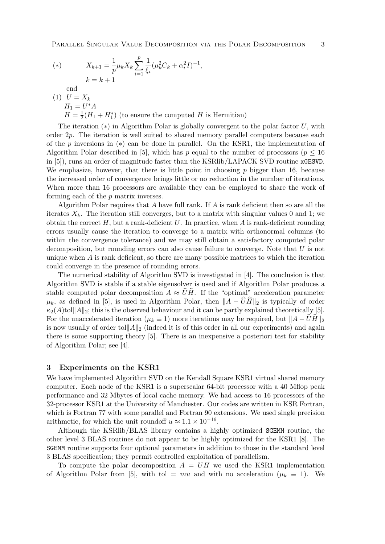(\*)  $X_{k+1} = \frac{1}{k}$  $\frac{1}{p}\mu_k X_k \sum_{i=1}^k$ p  $i=1$ 1  $\frac{1}{\xi_i} (\mu_k^2 C_k + \alpha_i^2 I)^{-1},$  $k = k + 1$ end

 $(1) U = X_k$  $H_1 = U^*A$  $H=\frac{1}{2}$  $\frac{1}{2}(H_1 + H_1^*)$  (to ensure the computed H is Hermitian)

The iteration  $(*)$  in Algorithm Polar is globally convergent to the polar factor U, with order  $2p$ . The iteration is well suited to shared memory parallel computers because each of the p inversions in  $(*)$  can be done in parallel. On the KSR1, the implementation of Algorithm Polar described in [5], which has p equal to the number of processors ( $p \leq 16$ ) in [5]), runs an order of magnitude faster than the KSRlib/LAPACK SVD routine xGESVD. We emphasize, however, that there is little point in choosing  $p$  bigger than 16, because the increased order of convergence brings little or no reduction in the number of iterations. When more than 16 processors are available they can be employed to share the work of forming each of the p matrix inverses.

Algorithm Polar requires that  $A$  have full rank. If  $A$  is rank deficient then so are all the iterates  $X_k$ . The iteration still converges, but to a matrix with singular values 0 and 1; we obtain the correct  $H$ , but a rank-deficient  $U$ . In practice, when A is rank-deficient rounding errors usually cause the iteration to converge to a matrix with orthonormal columns (to within the convergence tolerance) and we may still obtain a satisfactory computed polar decomposition, but rounding errors can also cause failure to converge. Note that  $U$  is not unique when  $A$  is rank deficient, so there are many possible matrices to which the iteration could converge in the presence of rounding errors.

The numerical stability of Algorithm SVD is investigated in [4]. The conclusion is that Algorithm SVD is stable if a stable eigensolver is used and if Algorithm Polar produces a stable computed polar decomposition  $A \approx \widehat{U}\widehat{H}$ . If the "optimal" acceleration parameter  $\mu_k$ , as defined in [5], is used in Algorithm Polar, then  $||A - \widehat{U}\widehat{H}||_2$  is typically of order  $\kappa_2(A)$ tol $||A||_2$ ; this is the observed behaviour and it can be partly explained theoretically [5]. For the unaccelerated iteration ( $\mu_k \equiv 1$ ) more iterations may be required, but  $||A - UH||_2$ is now usually of order toll  $\|A\|_2$  (indeed it is of this order in all our experiments) and again there is some supporting theory [5]. There is an inexpensive a posteriori test for stability of Algorithm Polar; see [4].

### 3 Experiments on the KSR1

We have implemented Algorithm SVD on the Kendall Square KSR1 virtual shared memory computer. Each node of the KSR1 is a superscalar 64-bit processor with a 40 Mflop peak performance and 32 Mbytes of local cache memory. We had access to 16 processors of the 32-processor KSR1 at the University of Manchester. Our codes are written in KSR Fortran, which is Fortran 77 with some parallel and Fortran 90 extensions. We used single precision arithmetic, for which the unit roundoff  $u \approx 1.1 \times 10^{-16}$ .

Although the KSRlib/BLAS library contains a highly optimized SGEMM routine, the other level 3 BLAS routines do not appear to be highly optimized for the KSR1 [8]. The SGEMM routine supports four optional parameters in addition to those in the standard level 3 BLAS specification; they permit controlled exploitation of parallelism.

To compute the polar decomposition  $A = UH$  we used the KSR1 implementation of Algorithm Polar from [5], with tol = mu and with no acceleration ( $\mu_k \equiv 1$ ). We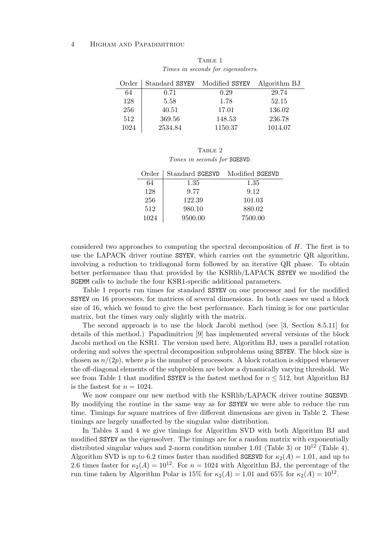#### 4 Higham and Papadimitriou

| Order | Standard SSYEV Modified SSYEV |         | Algorithm BJ |
|-------|-------------------------------|---------|--------------|
| 64    | 0.71                          | 0.29    | 29.74        |
| 128   | 5.58                          | 1.78    | 52.15        |
| 256   | 40.51                         | 17.01   | 136.02       |
| 512   | 369.56                        | 148.53  | 236.78       |
| 1024  | 2534.84                       | 1150.37 | 1014.07      |

TABLE 1 Times in seconds for eigensolvers.

TABLE 2 Times in seconds for SGESVD.

| Order | Standard SGESVD | Modified SGESVD |
|-------|-----------------|-----------------|
| 64    | 1.35            | 1.35            |
| 128   | 9.77            | 9.12            |
| 256   | 122.39          | 101.03          |
| 512   | 980.10          | 880.02          |
| 1024  | 9500.00         | 7500.00         |

considered two approaches to computing the spectral decomposition of  $H$ . The first is to use the LAPACK driver routine SSYEV, which carries out the symmetric QR algorithm, involving a reduction to tridiagonal form followed by an iterative QR phase. To obtain better performance than that provided by the KSRlib/LAPACK SSYEV we modified the SGEMM calls to include the four KSR1-specific additional parameters.

Table 1 reports run times for standard SSYEV on one processor and for the modified SSYEV on 16 processors, for matrices of several dimensions. In both cases we used a block size of 16, which we found to give the best performance. Each timing is for one particular matrix, but the times vary only slightly with the matrix.

The second approach is to use the block Jacobi method (see [3, Section 8.5.11] for details of this method.) Papadimitriou [9] has implemented several versions of the block Jacobi method on the KSR1. The version used here, Algorithm BJ, uses a parallel rotation ordering and solves the spectral decomposition subproblems using SSYEV. The block size is chosen as  $n/(2p)$ , where p is the number of processors. A block rotation is skipped whenever the off-diagonal elements of the subproblem are below a dynamically varying threshold. We see from Table 1 that modified SSYEV is the fastest method for  $n \leq 512$ , but Algorithm BJ is the fastest for  $n = 1024$ .

We now compare our new method with the KSRlib/LAPACK driver routine SGESVD. By modifying the routine in the same way as for SSYEV we were able to reduce the run time. Timings for square matrices of five different dimensions are given in Table 2. These timings are largely unaffected by the singular value distribution.

In Tables 3 and 4 we give timings for Algorithm SVD with both Algorithm BJ and modified SSYEV as the eigensolver. The timings are for a random matrix with exponentially distributed singular values and 2-norm condition number 1.01 (Table 3) or  $10^{12}$  (Table 4). Algorithm SVD is up to 6.2 times faster than modified SGESVD for  $\kappa_2(A) = 1.01$ , and up to 2.6 times faster for  $\kappa_2(A) = 10^{12}$ . For  $n = 1024$  with Algorithm BJ, the percentage of the run time taken by Algorithm Polar is 15% for  $\kappa_2(A) = 1.01$  and 65% for  $\kappa_2(A) = 10^{12}$ .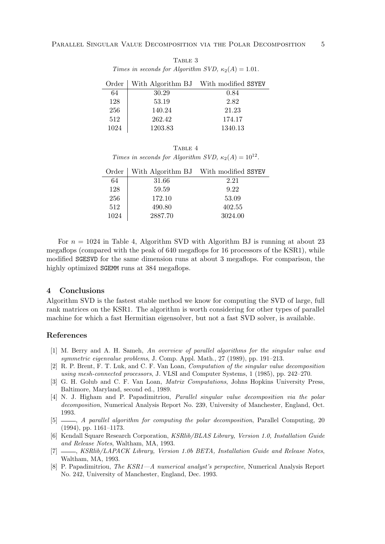TABLE 3 Times in seconds for Algorithm SVD,  $\kappa_2(A) = 1.01$ .

| Order |         | With Algorithm BJ With modified SSYEV |
|-------|---------|---------------------------------------|
| 64    | 30.29   | 0.84                                  |
| 128   | 53.19   | 2.82                                  |
| 256   | 140.24  | 21.23                                 |
| 512   | 262.42  | 174.17                                |
| 1024  | 1203.83 | 1340.13                               |

|  |                                                               | TABLE 4 |  |  |
|--|---------------------------------------------------------------|---------|--|--|
|  | Times in seconds for Algorithm SVD, $\kappa_2(A) = 10^{12}$ . |         |  |  |

| Order |         | With Algorithm BJ With modified SSYEV |
|-------|---------|---------------------------------------|
| 64    | 31.66   | 2.21                                  |
| 128   | 59.59   | 9.22                                  |
| 256   | 172.10  | 53.09                                 |
| 512   | 490.80  | 402.55                                |
| 1024  | 2887.70 | 3024.00                               |

For  $n = 1024$  in Table 4, Algorithm SVD with Algorithm BJ is running at about 23 megaflops (compared with the peak of 640 megaflops for 16 processors of the KSR1), while modified SGESVD for the same dimension runs at about 3 megaflops. For comparison, the highly optimized **SGEMM** runs at 384 megaflops.

## 4 Conclusions

Algorithm SVD is the fastest stable method we know for computing the SVD of large, full rank matrices on the KSR1. The algorithm is worth considering for other types of parallel machine for which a fast Hermitian eigensolver, but not a fast SVD solver, is available.

## References

- [1] M. Berry and A. H. Sameh, An overview of parallel algorithms for the singular value and symmetric eigenvalue problems, J. Comp. Appl. Math., 27 (1989), pp. 191–213.
- [2] R. P. Brent, F. T. Luk, and C. F. Van Loan, Computation of the singular value decomposition using mesh-connected processors, J. VLSI and Computer Systems, 1 (1985), pp. 242–270.
- [3] G. H. Golub and C. F. Van Loan, Matrix Computations, Johns Hopkins University Press, Baltimore, Maryland, second ed., 1989.
- [4] N. J. Higham and P. Papadimitriou, Parallel singular value decomposition via the polar decomposition, Numerical Analysis Report No. 239, University of Manchester, England, Oct. 1993.
- [5]  $\_\_\_\_\_\_\$  A parallel algorithm for computing the polar decomposition, Parallel Computing, 20 (1994), pp. 1161–1173.
- [6] Kendall Square Research Corporation, KSRlib/BLAS Library, Version 1.0, Installation Guide and Release Notes, Waltham, MA, 1993.
- [7] \_\_\_\_, KSRlib/LAPACK Library, Version 1.0b BETA, Installation Guide and Release Notes, Waltham, MA, 1993.
- [8] P. Papadimitriou, *The KSR1—A numerical analyst's perspective*, Numerical Analysis Report No. 242, University of Manchester, England, Dec. 1993.